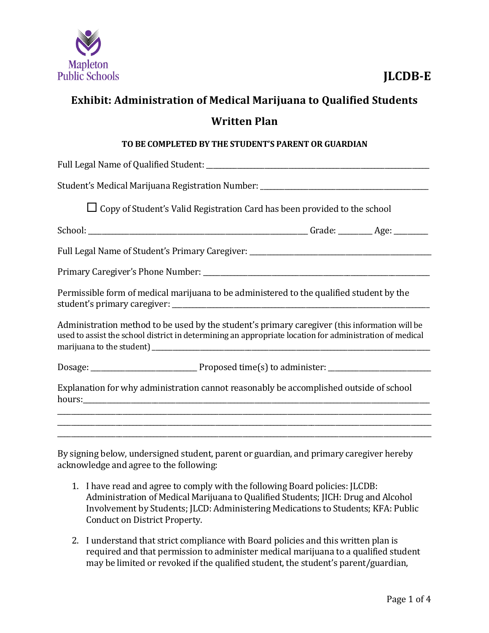

## **Exhibit: Administration of Medical Marijuana to Qualified Students Written Plan**

#### **TO BE COMPLETED BY THE STUDENT'S PARENT OR GUARDIAN**

| Student's Medical Marijuana Registration Number: _______________________________                                                                                                                         |  |  |
|----------------------------------------------------------------------------------------------------------------------------------------------------------------------------------------------------------|--|--|
| $\Box$ Copy of Student's Valid Registration Card has been provided to the school                                                                                                                         |  |  |
|                                                                                                                                                                                                          |  |  |
| Full Legal Name of Student's Primary Caregiver: ________________________________                                                                                                                         |  |  |
|                                                                                                                                                                                                          |  |  |
| Permissible form of medical marijuana to be administered to the qualified student by the                                                                                                                 |  |  |
| Administration method to be used by the student's primary caregiver (this information will be<br>used to assist the school district in determining an appropriate location for administration of medical |  |  |
|                                                                                                                                                                                                          |  |  |
| Explanation for why administration cannot reasonably be accomplished outside of school                                                                                                                   |  |  |
| <u> 1989 - Johann Barn, mars and deutscher Stadt and deutscher Stadt and deutscher Stadt and deutscher Stadt and</u>                                                                                     |  |  |
|                                                                                                                                                                                                          |  |  |

By signing below, undersigned student, parent or guardian, and primary caregiver hereby acknowledge and agree to the following:

- 1. I have read and agree to comply with the following Board policies: JLCDB: Administration of Medical Marijuana to Qualified Students; JICH: Drug and Alcohol Involvement by Students; JLCD: Administering Medications to Students; KFA: Public Conduct on District Property.
- 2. I understand that strict compliance with Board policies and this written plan is required and that permission to administer medical marijuana to a qualified student may be limited or revoked if the qualified student, the student's parent/guardian,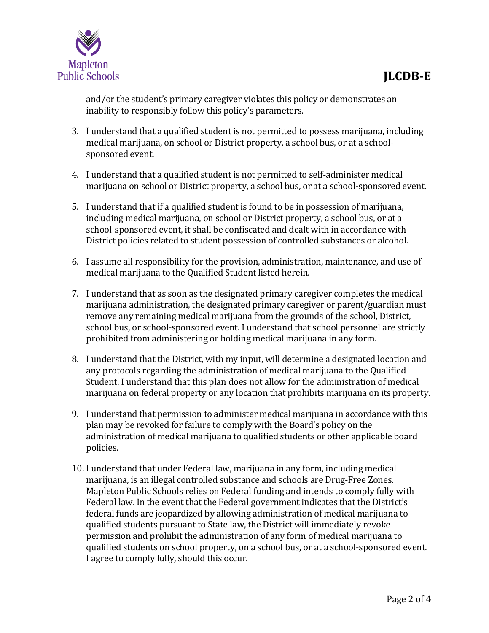

and/or the student's primary caregiver violates this policy or demonstrates an inability to responsibly follow this policy's parameters.

- 3. I understand that a qualified student is not permitted to possess marijuana, including medical marijuana, on school or District property, a school bus, or at a schoolsponsored event.
- 4. I understand that a qualified student is not permitted to self-administer medical marijuana on school or District property, a school bus, or at a school-sponsored event.
- 5. I understand that if a qualified student is found to be in possession of marijuana, including medical marijuana, on school or District property, a school bus, or at a school-sponsored event, it shall be confiscated and dealt with in accordance with District policies related to student possession of controlled substances or alcohol.
- 6. I assume all responsibility for the provision, administration, maintenance, and use of medical marijuana to the Qualified Student listed herein.
- 7. I understand that as soon as the designated primary caregiver completes the medical marijuana administration, the designated primary caregiver or parent/guardian must remove any remaining medical marijuana from the grounds of the school, District, school bus, or school-sponsored event. I understand that school personnel are strictly prohibited from administering or holding medical marijuana in any form.
- 8. I understand that the District, with my input, will determine a designated location and any protocols regarding the administration of medical marijuana to the Qualified Student. I understand that this plan does not allow for the administration of medical marijuana on federal property or any location that prohibits marijuana on its property.
- 9. I understand that permission to administer medical marijuana in accordance with this plan may be revoked for failure to comply with the Board's policy on the administration of medical marijuana to qualified students or other applicable board policies.
- 10. I understand that under Federal law, marijuana in any form, including medical marijuana, is an illegal controlled substance and schools are Drug-Free Zones. Mapleton Public Schools relies on Federal funding and intends to comply fully with Federal law. In the event that the Federal government indicates that the District's federal funds are jeopardized by allowing administration of medical marijuana to qualified students pursuant to State law, the District will immediately revoke permission and prohibit the administration of any form of medical marijuana to qualified students on school property, on a school bus, or at a school-sponsored event. I agree to comply fully, should this occur.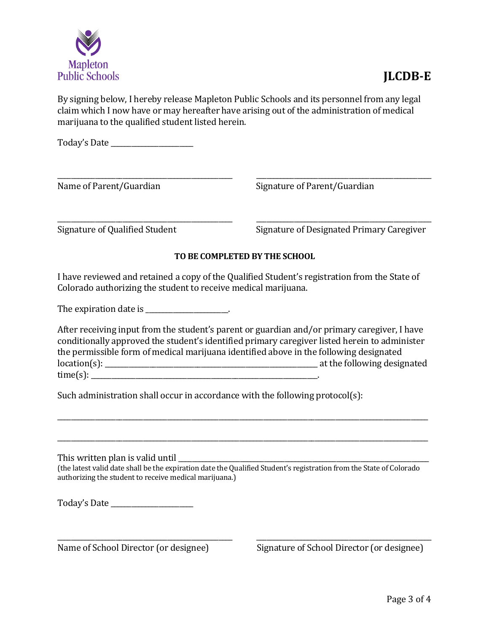

### **JLCDB-E**

By signing below, I hereby release Mapleton Public Schools and its personnel from any legal claim which I now have or may hereafter have arising out of the administration of medical marijuana to the qualified student listed herein.

Today's Date \_\_\_\_\_\_\_\_\_\_\_\_\_\_\_\_\_\_\_\_\_\_\_\_

Name of Parent/Guardian Signature of Parent/Guardian

Signature of Qualified Student Signature of Designated Primary Caregiver

#### **TO BE COMPLETED BY THE SCHOOL**

\_\_\_\_\_\_\_\_\_\_\_\_\_\_\_\_\_\_\_\_\_\_\_\_\_\_\_\_\_\_\_\_\_\_\_\_\_\_\_\_\_\_\_\_\_\_\_\_\_\_\_ \_\_\_\_\_\_\_\_\_\_\_\_\_\_\_\_\_\_\_\_\_\_\_\_\_\_\_\_\_\_\_\_\_\_\_\_\_\_\_\_\_\_\_\_\_\_\_\_\_\_\_

\_\_\_\_\_\_\_\_\_\_\_\_\_\_\_\_\_\_\_\_\_\_\_\_\_\_\_\_\_\_\_\_\_\_\_\_\_\_\_\_\_\_\_\_\_\_\_\_\_\_\_ \_\_\_\_\_\_\_\_\_\_\_\_\_\_\_\_\_\_\_\_\_\_\_\_\_\_\_\_\_\_\_\_\_\_\_\_\_\_\_\_\_\_\_\_\_\_\_\_\_\_\_

I have reviewed and retained a copy of the Qualified Student's registration from the State of Colorado authorizing the student to receive medical marijuana.

The expiration date is  $\blacksquare$ 

After receiving input from the student's parent or guardian and/or primary caregiver, I have conditionally approved the student's identified primary caregiver listed herein to administer the permissible form of medical marijuana identified above in the following designated location(s): \_\_\_\_\_\_\_\_\_\_\_\_\_\_\_\_\_\_\_\_\_\_\_\_\_\_\_\_\_\_\_\_\_\_\_\_\_\_\_\_\_\_\_\_\_\_\_\_\_\_\_\_\_\_\_\_\_\_\_\_\_\_ at the following designated  $time(s):$ 

\_\_\_\_\_\_\_\_\_\_\_\_\_\_\_\_\_\_\_\_\_\_\_\_\_\_\_\_\_\_\_\_\_\_\_\_\_\_\_\_\_\_\_\_\_\_\_\_\_\_\_\_\_\_\_\_\_\_\_\_\_\_\_\_\_\_\_\_\_\_\_\_\_\_\_\_\_\_\_\_\_\_\_\_\_\_\_\_\_\_\_\_\_\_\_\_\_\_\_\_\_\_\_\_\_\_\_\_

\_\_\_\_\_\_\_\_\_\_\_\_\_\_\_\_\_\_\_\_\_\_\_\_\_\_\_\_\_\_\_\_\_\_\_\_\_\_\_\_\_\_\_\_\_\_\_\_\_\_\_\_\_\_\_\_\_\_\_\_\_\_\_\_\_\_\_\_\_\_\_\_\_\_\_\_\_\_\_\_\_\_\_\_\_\_\_\_\_\_\_\_\_\_\_\_\_\_\_\_\_\_\_\_\_\_\_\_

Such administration shall occur in accordance with the following protocol(s):

This written plan is valid until

(the latest valid date shall be the expiration date the Qualified Student's registration from the State of Colorado authorizing the student to receive medical marijuana.)

\_\_\_\_\_\_\_\_\_\_\_\_\_\_\_\_\_\_\_\_\_\_\_\_\_\_\_\_\_\_\_\_\_\_\_\_\_\_\_\_\_\_\_\_\_\_\_\_\_\_\_ \_\_\_\_\_\_\_\_\_\_\_\_\_\_\_\_\_\_\_\_\_\_\_\_\_\_\_\_\_\_\_\_\_\_\_\_\_\_\_\_\_\_\_\_\_\_\_\_\_\_\_

Today's Date \_\_\_\_\_\_\_\_\_\_\_\_\_\_\_\_\_\_\_\_\_\_\_\_

Name of School Director (or designee) Signature of School Director (or designee)